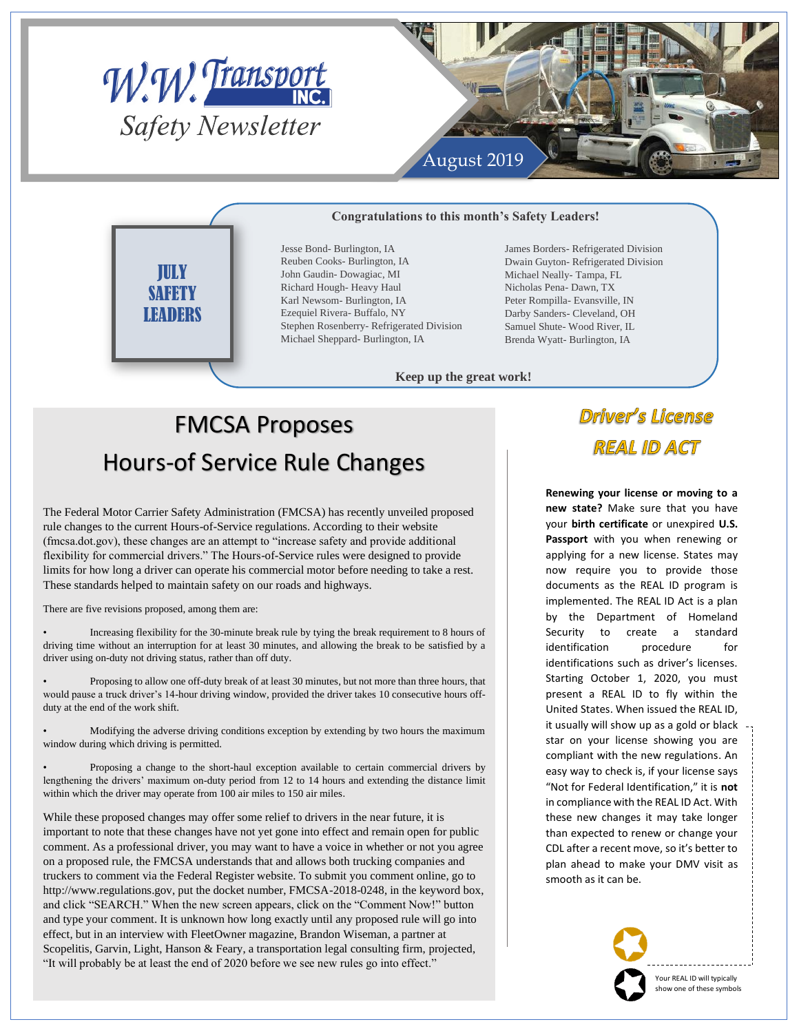

JULY **SAFETY LEADERS** 



#### **Congratulations to this month's Safety Leaders!**

Jesse Bond- Burlington, IA Reuben Cooks- Burlington, IA John Gaudin- Dowagiac, MI Richard Hough- Heavy Haul Karl Newsom- Burlington, IA Ezequiel Rivera- Buffalo, NY Stephen Rosenberry- Refrigerated Division Michael Sheppard- Burlington, IA

James Borders- Refrigerated Division Dwain Guyton- Refrigerated Division Michael Neally- Tampa, FL Nicholas Pena- Dawn, TX Peter Rompilla- Evansville, IN Darby Sanders- Cleveland, OH Samuel Shute- Wood River, IL Brenda Wyatt- Burlington, IA

**Keep up the great work!**

# FMCSA Proposes Hours-of Service Rule Changes

The Federal Motor Carrier Safety Administration (FMCSA) has recently unveiled proposed rule changes to the current Hours-of-Service regulations. According to their website (fmcsa.dot.gov), these changes are an attempt to "increase safety and provide additional flexibility for commercial drivers." The Hours-of-Service rules were designed to provide limits for how long a driver can operate his commercial motor before needing to take a rest. These standards helped to maintain safety on our roads and highways.

There are five revisions proposed, among them are:

• Increasing flexibility for the 30-minute break rule by tying the break requirement to 8 hours of driving time without an interruption for at least 30 minutes, and allowing the break to be satisfied by a driver using on-duty not driving status, rather than off duty.

• Proposing to allow one off-duty break of at least 30 minutes, but not more than three hours, that would pause a truck driver's 14-hour driving window, provided the driver takes 10 consecutive hours offduty at the end of the work shift.

• Modifying the adverse driving conditions exception by extending by two hours the maximum window during which driving is permitted.

• Proposing a change to the short-haul exception available to certain commercial drivers by lengthening the drivers' maximum on-duty period from 12 to 14 hours and extending the distance limit within which the driver may operate from 100 air miles to 150 air miles.

While these proposed changes may offer some relief to drivers in the near future, it is important to note that these changes have not yet gone into effect and remain open for public comment. As a professional driver, you may want to have a voice in whether or not you agree on a proposed rule, the FMCSA understands that and allows both trucking companies and truckers to comment via the Federal Register website. To submit you comment online, go to http://www.regulations.gov, put the docket number, FMCSA-2018-0248, in the keyword box, and click "SEARCH." When the new screen appears, click on the "Comment Now!" button and type your comment. It is unknown how long exactly until any proposed rule will go into effect, but in an interview with FleetOwner magazine, Brandon Wiseman, a partner at Scopelitis, Garvin, Light, Hanson & Feary, a transportation legal consulting firm, projected, "It will probably be at least the end of 2020 before we see new rules go into effect."

### **Driver's License REAL ID ACT**

**Renewing your license or moving to a new state?** Make sure that you have your **birth certificate** or unexpired **U.S. Passport** with you when renewing or applying for a new license. States may now require you to provide those documents as the REAL ID program is implemented. The REAL ID Act is a plan by the Department of Homeland Security to create a standard identification procedure for identifications such as driver's licenses. Starting October 1, 2020, you must present a REAL ID to fly within the United States. When issued the REAL ID, it usually will show up as a gold or black star on your license showing you are compliant with the new regulations. An easy way to check is, if your license says "Not for Federal Identification," it is **not** in compliance with the REAL ID Act. With these new changes it may take longer than expected to renew or change your CDL after a recent move, so it's better to plan ahead to make your DMV visit as smooth as it can be.



Your REAL ID will typically show one of these symbols